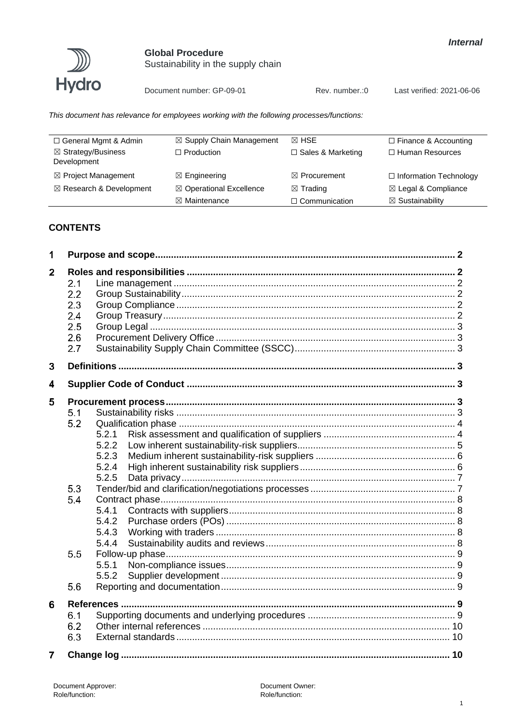



Sustainability in the supply chain

Document number: GP-09-01

Rev. number.: 0

Last verified: 2021-06-06

This document has relevance for employees working with the following processes/functions:

| □ General Mgmt & Admin                       | $\boxtimes$ Supply Chain Management | $\boxtimes$ HSE          | $\Box$ Finance & Accounting    |
|----------------------------------------------|-------------------------------------|--------------------------|--------------------------------|
| $\boxtimes$ Strategy/Business<br>Development | $\Box$ Production                   | $\Box$ Sales & Marketing | □ Human Resources              |
| $\boxtimes$ Project Management               | $\boxtimes$ Engineering             | $\boxtimes$ Procurement  | $\Box$ Information Technology  |
| $\boxtimes$ Research & Development           | ⊠ Operational Excellence            | $\boxtimes$ Trading      | $\boxtimes$ Legal & Compliance |
|                                              | $\boxtimes$ Maintenance             | $\Box$ Communication     | $\boxtimes$ Sustainability     |

# **CONTENTS**

| 1              |                                               |                                                                               |  |
|----------------|-----------------------------------------------|-------------------------------------------------------------------------------|--|
| $\mathbf{2}$   | 2.1<br>2.2<br>2.3<br>2.4<br>2.5<br>2.6<br>2.7 |                                                                               |  |
| $\mathbf{3}$   |                                               |                                                                               |  |
| 4              |                                               |                                                                               |  |
| 5              | 5.1<br>5.2<br>5.3<br>5.4                      | 5.2.1<br>5.2.2<br>5.2.3<br>5.2.4<br>5.2.5<br>5.4.1<br>5.4.2<br>5.4.3<br>5.4.4 |  |
|                | 5.5                                           | 5.5.1<br>5.5.2                                                                |  |
|                | 5.6                                           |                                                                               |  |
| 6              | 6.1<br>6.2<br>6.3                             |                                                                               |  |
| $\overline{7}$ |                                               |                                                                               |  |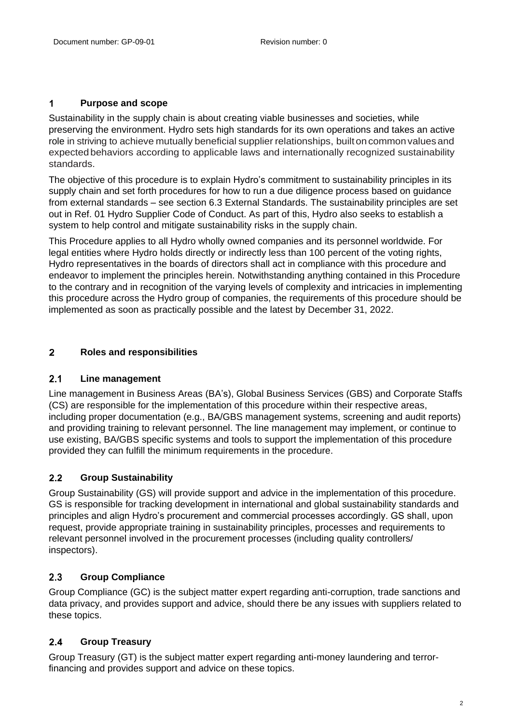### <span id="page-1-0"></span> $\mathbf 1$ **Purpose and scope**

Sustainability in the supply chain is about creating viable businesses and societies, while preserving the environment. Hydro sets high standards for its own operations and takes an active role in striving to achieve mutually beneficial supplier relationships, built on common values and expected behaviors according to applicable laws and internationally recognized sustainability standards.

The objective of this procedure is to explain Hydro's commitment to sustainability principles in its supply chain and set forth procedures for how to run a due diligence process based on guidance from external standards – see section 6.3 External Standards. The sustainability principles are set out in Ref. 01 Hydro Supplier Code of Conduct. As part of this, Hydro also seeks to establish a system to help control and mitigate sustainability risks in the supply chain.

This Procedure applies to all Hydro wholly owned companies and its personnel worldwide. For legal entities where Hydro holds directly or indirectly less than 100 percent of the voting rights, Hydro representatives in the boards of directors shall act in compliance with this procedure and endeavor to implement the principles herein. Notwithstanding anything contained in this Procedure to the contrary and in recognition of the varying levels of complexity and intricacies in implementing this procedure across the Hydro group of companies, the requirements of this procedure should be implemented as soon as practically possible and the latest by December 31, 2022.

### <span id="page-1-1"></span> $\overline{2}$ **Roles and responsibilities**

#### <span id="page-1-2"></span> $2.1$ **Line management**

Line management in Business Areas (BA's), Global Business Services (GBS) and Corporate Staffs (CS) are responsible for the implementation of this procedure within their respective areas, including proper documentation (e.g., BA/GBS management systems, screening and audit reports) and providing training to relevant personnel. The line management may implement, or continue to use existing, BA/GBS specific systems and tools to support the implementation of this procedure provided they can fulfill the minimum requirements in the procedure.

### <span id="page-1-3"></span> $2.2$ **Group Sustainability**

Group Sustainability (GS) will provide support and advice in the implementation of this procedure. GS is responsible for tracking development in international and global sustainability standards and principles and align Hydro's procurement and commercial processes accordingly. GS shall, upon request, provide appropriate training in sustainability principles, processes and requirements to relevant personnel involved in the procurement processes (including quality controllers/ inspectors).

### <span id="page-1-4"></span> $2.3$ **Group Compliance**

Group Compliance (GC) is the subject matter expert regarding anti-corruption, trade sanctions and data privacy, and provides support and advice, should there be any issues with suppliers related to these topics.

### <span id="page-1-5"></span> $2.4$ **Group Treasury**

Group Treasury (GT) is the subject matter expert regarding anti-money laundering and terrorfinancing and provides support and advice on these topics.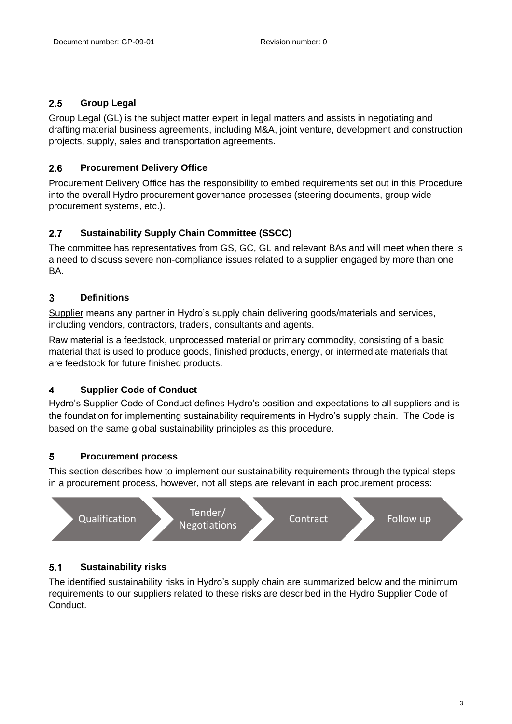### <span id="page-2-0"></span> $2.5$ **Group Legal**

Group Legal (GL) is the subject matter expert in legal matters and assists in negotiating and drafting material business agreements, including M&A, joint venture, development and construction projects, supply, sales and transportation agreements.

### <span id="page-2-1"></span> $2.6$ **Procurement Delivery Office**

Procurement Delivery Office has the responsibility to embed requirements set out in this Procedure into the overall Hydro procurement governance processes (steering documents, group wide procurement systems, etc.).

### <span id="page-2-2"></span> $2.7$ **Sustainability Supply Chain Committee (SSCC)**

The committee has representatives from GS, GC, GL and relevant BAs and will meet when there is a need to discuss severe non-compliance issues related to a supplier engaged by more than one **BA** 

### <span id="page-2-3"></span> $\overline{3}$ **Definitions**

Supplier means any partner in Hydro's supply chain delivering goods/materials and services, including vendors, contractors, traders, consultants and agents.

Raw material is a feedstock, unprocessed material or primary commodity, consisting of a basic material that is used to produce goods, finished products, energy, or intermediate materials that are feedstock for future finished products.

### <span id="page-2-4"></span> $\overline{\mathbf{4}}$ **Supplier Code of Conduct**

Hydro's Supplier Code of Conduct defines Hydro's position and expectations to all suppliers and is the foundation for implementing sustainability requirements in Hydro's supply chain. The Code is based on the same global sustainability principles as this procedure.

### <span id="page-2-5"></span>5 **Procurement process**

This section describes how to implement our sustainability requirements through the typical steps in a procurement process, however, not all steps are relevant in each procurement process:



### <span id="page-2-6"></span> $5.1$ **Sustainability risks**

The identified sustainability risks in Hydro's supply chain are summarized below and the minimum requirements to our suppliers related to these risks are described in the Hydro Supplier Code of Conduct.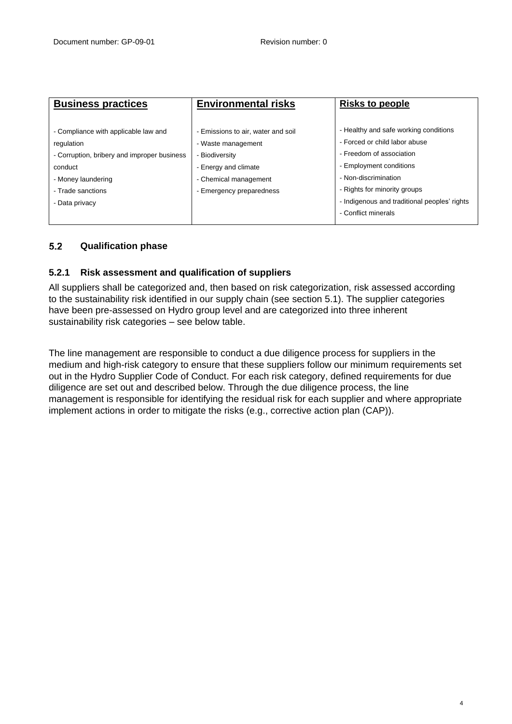| <b>Business practices</b>                   | <b>Environmental risks</b>         | <b>Risks to people</b>                       |
|---------------------------------------------|------------------------------------|----------------------------------------------|
|                                             |                                    |                                              |
| - Compliance with applicable law and        | - Emissions to air, water and soil | - Healthy and safe working conditions        |
| regulation                                  | - Waste management                 | - Forced or child labor abuse                |
| - Corruption, bribery and improper business | - Biodiversity                     | - Freedom of association                     |
| conduct                                     | - Energy and climate               | - Employment conditions                      |
| - Money laundering                          | - Chemical management              | - Non-discrimination                         |
| - Trade sanctions                           | - Emergency preparedness           | - Rights for minority groups                 |
| - Data privacy                              |                                    | - Indigenous and traditional peoples' rights |
|                                             |                                    | - Conflict minerals                          |
|                                             |                                    |                                              |

### <span id="page-3-0"></span> $5.2$ **Qualification phase**

## <span id="page-3-1"></span>**5.2.1 Risk assessment and qualification of suppliers**

All suppliers shall be categorized and, then based on risk categorization, risk assessed according to the sustainability risk identified in our supply chain (see section 5.1). The supplier categories have been pre-assessed on Hydro group level and are categorized into three inherent sustainability risk categories – see below table.

The line management are responsible to conduct a due diligence process for suppliers in the medium and high-risk category to ensure that these suppliers follow our minimum requirements set out in the Hydro Supplier Code of Conduct. For each risk category, defined requirements for due diligence are set out and described below. Through the due diligence process, the line management is responsible for identifying the residual risk for each supplier and where appropriate implement actions in order to mitigate the risks (e.g., corrective action plan (CAP)).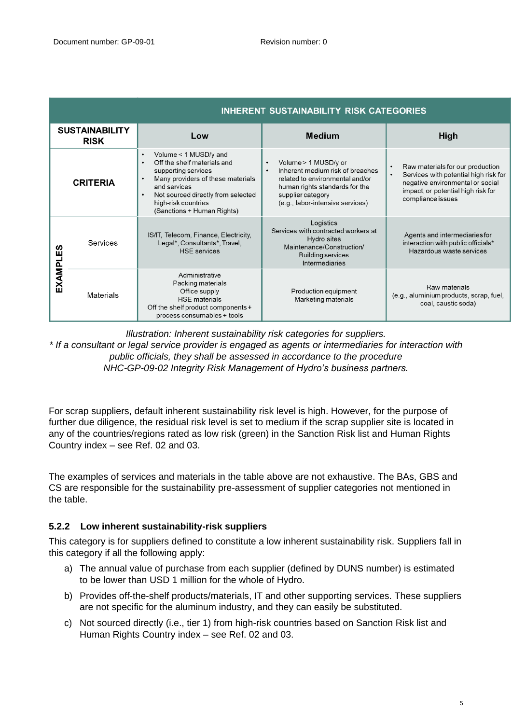|                                      | <b>INHERENT SUSTAINABILITY RISK CATEGORIES</b> |                                                                                                                                                                                                                                                                                 |                                                                                                                                                                                                     |                                                                                                                                                                          |
|--------------------------------------|------------------------------------------------|---------------------------------------------------------------------------------------------------------------------------------------------------------------------------------------------------------------------------------------------------------------------------------|-----------------------------------------------------------------------------------------------------------------------------------------------------------------------------------------------------|--------------------------------------------------------------------------------------------------------------------------------------------------------------------------|
| <b>SUSTAINABILITY</b><br><b>RISK</b> |                                                | Low                                                                                                                                                                                                                                                                             | <b>Medium</b>                                                                                                                                                                                       | High                                                                                                                                                                     |
|                                      | <b>CRITERIA</b>                                | Volume < 1 MUSD/y and<br>$\bullet$<br>Off the shelf materials and<br>$\bullet$<br>supporting services<br>Many providers of these materials<br>$\bullet$<br>and services<br>Not sourced directly from selected<br>$\bullet$<br>high-risk countries<br>(Sanctions + Human Rights) | Volume > 1 MUSD/y or<br>$\bullet$<br>Inherent medium risk of breaches<br>related to environmental and/or<br>human rights standards for the<br>supplier category<br>(e.g., labor-intensive services) | Raw materials for our production<br>Services with potential high risk for<br>negative environmental or social<br>impact, or potential high risk for<br>compliance issues |
| EXAMPLES                             | <b>Services</b>                                | IS/IT, Telecom, Finance, Electricity,<br>Legal*, Consultants*, Travel,<br><b>HSE</b> services                                                                                                                                                                                   | Logistics<br>Services with contracted workers at<br>Hydro sites<br>Maintenance/Construction/<br><b>Building services</b><br>Intermediaries                                                          | Agents and intermediaries for<br>interaction with public officials*<br>Hazardous waste services                                                                          |
|                                      | <b>Materials</b>                               | Administrative<br>Packing materials<br>Office supply<br><b>HSE</b> materials<br>Off the shelf product components +<br>process consumables + tools                                                                                                                               | Production equipment<br>Marketing materials                                                                                                                                                         | Raw materials<br>(e.g., aluminium products, scrap, fuel,<br>coal, caustic soda)                                                                                          |

*Illustration: Inherent sustainability risk categories for suppliers. \* If a consultant or legal service provider is engaged as agents or intermediaries for interaction with public officials, they shall be assessed in accordance to the procedure NHC-GP-09-02 Integrity Risk Management of Hydro's business partners.*

For scrap suppliers, default inherent sustainability risk level is high. However, for the purpose of further due diligence, the residual risk level is set to medium if the scrap supplier site is located in any of the countries/regions rated as low risk (green) in the Sanction Risk list and Human Rights Country index – see Ref. 02 and 03.

The examples of services and materials in the table above are not exhaustive. The BAs, GBS and CS are responsible for the sustainability pre-assessment of supplier categories not mentioned in the table.

## <span id="page-4-0"></span>**5.2.2 Low inherent sustainability-risk suppliers**

This category is for suppliers defined to constitute a low inherent sustainability risk. Suppliers fall in this category if all the following apply:

- a) The annual value of purchase from each supplier (defined by DUNS number) is estimated to be lower than USD 1 million for the whole of Hydro.
- b) Provides off-the-shelf products/materials, IT and other supporting services. These suppliers are not specific for the aluminum industry, and they can easily be substituted.
- c) Not sourced directly (i.e., tier 1) from high-risk countries based on Sanction Risk list and Human Rights Country index – see Ref. 02 and 03.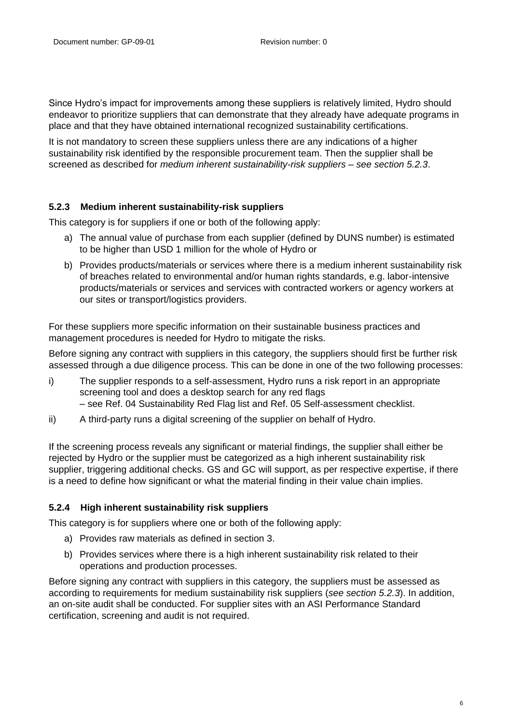Since Hydro's impact for improvements among these suppliers is relatively limited, Hydro should endeavor to prioritize suppliers that can demonstrate that they already have adequate programs in place and that they have obtained international recognized sustainability certifications.

It is not mandatory to screen these suppliers unless there are any indications of a higher sustainability risk identified by the responsible procurement team. Then the supplier shall be screened as described for *medium inherent sustainability-risk suppliers – see section 5.2.3*.

## <span id="page-5-0"></span>**5.2.3 Medium inherent sustainability-risk suppliers**

This category is for suppliers if one or both of the following apply:

- a) The annual value of purchase from each supplier (defined by DUNS number) is estimated to be higher than USD 1 million for the whole of Hydro or
- b) Provides products/materials or services where there is a medium inherent sustainability risk of breaches related to environmental and/or human rights standards, e.g. labor-intensive products/materials or services and services with contracted workers or agency workers at our sites or transport/logistics providers.

For these suppliers more specific information on their sustainable business practices and management procedures is needed for Hydro to mitigate the risks.

Before signing any contract with suppliers in this category, the suppliers should first be further risk assessed through a due diligence process. This can be done in one of the two following processes:

- i) The supplier responds to a self-assessment, Hydro runs a risk report in an appropriate screening tool and does a desktop search for any red flags – see Ref. 04 Sustainability Red Flag list and Ref. 05 Self-assessment checklist.
- ii) A third-party runs a digital screening of the supplier on behalf of Hydro.

If the screening process reveals any significant or material findings, the supplier shall either be rejected by Hydro or the supplier must be categorized as a high inherent sustainability risk supplier, triggering additional checks. GS and GC will support, as per respective expertise, if there is a need to define how significant or what the material finding in their value chain implies.

## <span id="page-5-1"></span>**5.2.4 High inherent sustainability risk suppliers**

This category is for suppliers where one or both of the following apply:

- a) Provides raw materials as defined in section 3.
- b) Provides services where there is a high inherent sustainability risk related to their operations and production processes.

Before signing any contract with suppliers in this category, the suppliers must be assessed as according to requirements for medium sustainability risk suppliers (*see section 5.2.3*). In addition, an on-site audit shall be conducted. For supplier sites with an ASI Performance Standard certification, screening and audit is not required.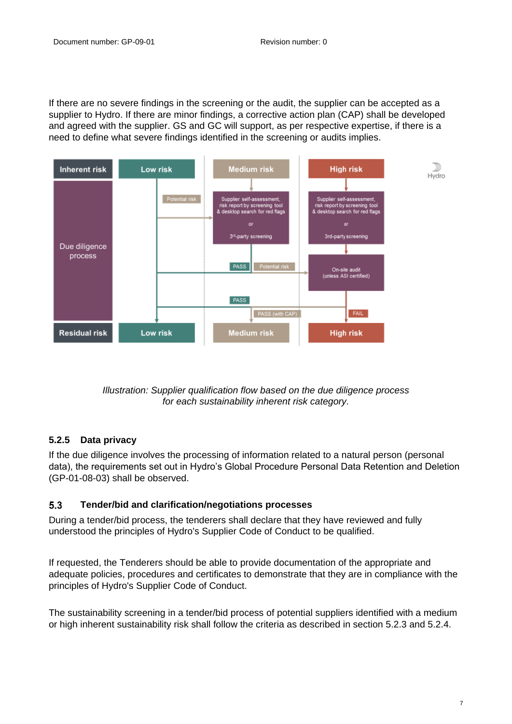If there are no severe findings in the screening or the audit, the supplier can be accepted as a supplier to Hydro. If there are minor findings, a corrective action plan (CAP) shall be developed and agreed with the supplier. GS and GC will support, as per respective expertise, if there is a need to define what severe findings identified in the screening or audits implies.



*Illustration: Supplier qualification flow based on the due diligence process for each sustainability inherent risk category.* 

# <span id="page-6-0"></span>**5.2.5 Data privacy**

If the due diligence involves the processing of information related to a natural person (personal data), the requirements set out in Hydro's Global Procedure Personal Data Retention and Deletion (GP-01-08-03) shall be observed.

### <span id="page-6-1"></span> $5.3$ **Tender/bid and clarification/negotiations processes**

During a tender/bid process, the tenderers shall declare that they have reviewed and fully understood the principles of Hydro's Supplier Code of Conduct to be qualified.

If requested, the Tenderers should be able to provide documentation of the appropriate and adequate policies, procedures and certificates to demonstrate that they are in compliance with the principles of Hydro's Supplier Code of Conduct.

The sustainability screening in a tender/bid process of potential suppliers identified with a medium or high inherent sustainability risk shall follow the criteria as described in section 5.2.3 and 5.2.4.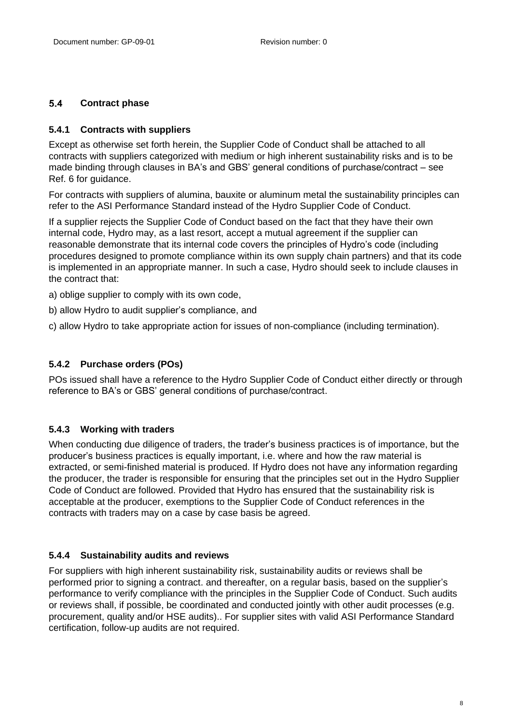### <span id="page-7-0"></span> $5.4$ **Contract phase**

# <span id="page-7-1"></span>**5.4.1 Contracts with suppliers**

Except as otherwise set forth herein, the Supplier Code of Conduct shall be attached to all contracts with suppliers categorized with medium or high inherent sustainability risks and is to be made binding through clauses in BA's and GBS' general conditions of purchase/contract – see Ref. 6 for guidance.

For contracts with suppliers of alumina, bauxite or aluminum metal the sustainability principles can refer to the ASI Performance Standard instead of the Hydro Supplier Code of Conduct.

If a supplier rejects the Supplier Code of Conduct based on the fact that they have their own internal code, Hydro may, as a last resort, accept a mutual agreement if the supplier can reasonable demonstrate that its internal code covers the principles of Hydro's code (including procedures designed to promote compliance within its own supply chain partners) and that its code is implemented in an appropriate manner. In such a case, Hydro should seek to include clauses in the contract that:

a) oblige supplier to comply with its own code,

b) allow Hydro to audit supplier's compliance, and

c) allow Hydro to take appropriate action for issues of non-compliance (including termination).

# <span id="page-7-2"></span>**5.4.2 Purchase orders (POs)**

POs issued shall have a reference to the Hydro Supplier Code of Conduct either directly or through reference to BA's or GBS' general conditions of purchase/contract.

# <span id="page-7-3"></span>**5.4.3 Working with traders**

When conducting due diligence of traders, the trader's business practices is of importance, but the producer's business practices is equally important, i.e. where and how the raw material is extracted, or semi-finished material is produced. If Hydro does not have any information regarding the producer, the trader is responsible for ensuring that the principles set out in the Hydro Supplier Code of Conduct are followed. Provided that Hydro has ensured that the sustainability risk is acceptable at the producer, exemptions to the Supplier Code of Conduct references in the contracts with traders may on a case by case basis be agreed.

# <span id="page-7-4"></span>**5.4.4 Sustainability audits and reviews**

For suppliers with high inherent sustainability risk, sustainability audits or reviews shall be performed prior to signing a contract. and thereafter, on a regular basis, based on the supplier's performance to verify compliance with the principles in the Supplier Code of Conduct. Such audits or reviews shall, if possible, be coordinated and conducted jointly with other audit processes (e.g. procurement, quality and/or HSE audits).. For supplier sites with valid ASI Performance Standard certification, follow-up audits are not required.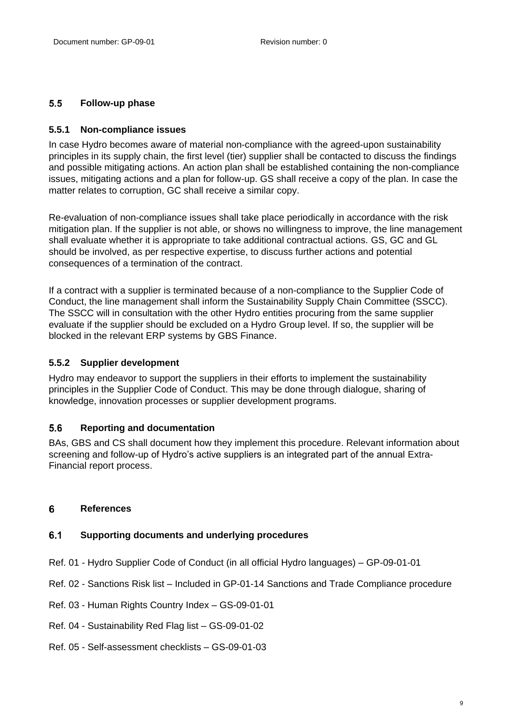### <span id="page-8-0"></span> $5.5$ **Follow-up phase**

## <span id="page-8-1"></span>**5.5.1 Non-compliance issues**

In case Hydro becomes aware of material non-compliance with the agreed-upon sustainability principles in its supply chain, the first level (tier) supplier shall be contacted to discuss the findings and possible mitigating actions. An action plan shall be established containing the non-compliance issues, mitigating actions and a plan for follow-up. GS shall receive a copy of the plan. In case the matter relates to corruption, GC shall receive a similar copy.

Re-evaluation of non-compliance issues shall take place periodically in accordance with the risk mitigation plan. If the supplier is not able, or shows no willingness to improve, the line management shall evaluate whether it is appropriate to take additional contractual actions. GS, GC and GL should be involved, as per respective expertise, to discuss further actions and potential consequences of a termination of the contract.

If a contract with a supplier is terminated because of a non-compliance to the Supplier Code of Conduct, the line management shall inform the Sustainability Supply Chain Committee (SSCC). The SSCC will in consultation with the other Hydro entities procuring from the same supplier evaluate if the supplier should be excluded on a Hydro Group level. If so, the supplier will be blocked in the relevant ERP systems by GBS Finance.

## <span id="page-8-2"></span>**5.5.2 Supplier development**

Hydro may endeavor to support the suppliers in their efforts to implement the sustainability principles in the Supplier Code of Conduct. This may be done through dialogue, sharing of knowledge, innovation processes or supplier development programs.

### <span id="page-8-3"></span>5.6 **Reporting and documentation**

BAs, GBS and CS shall document how they implement this procedure. Relevant information about screening and follow-up of Hydro's active suppliers is an integrated part of the annual Extra-Financial report process.

#### <span id="page-8-5"></span><span id="page-8-4"></span>6 **References**

#### $6.1$ **Supporting documents and underlying procedures**

- Ref. 01 Hydro Supplier Code of Conduct (in all official Hydro languages) GP-09-01-01
- Ref. 02 Sanctions Risk list Included in GP-01-14 Sanctions and Trade Compliance procedure
- Ref. 03 Human Rights Country Index GS-09-01-01
- Ref. 04 Sustainability Red Flag list GS-09-01-02
- Ref. 05 Self-assessment checklists GS-09-01-03